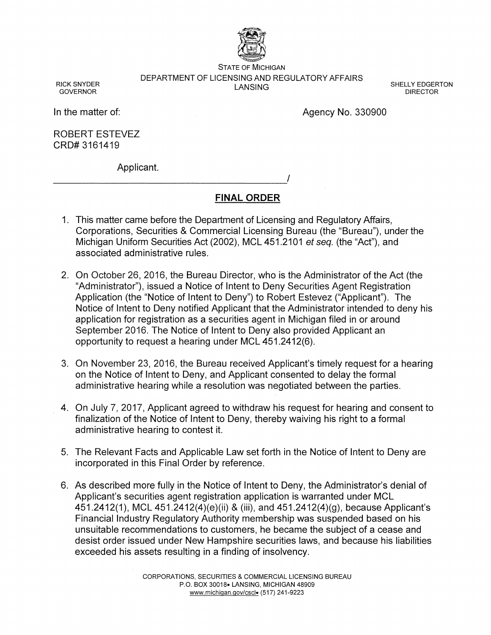

STATE OF MICHIGAN DEPARTMENT OF LICENSING AND REGULATORY AFFAIRS LANSING

RICK SNYDER GOVERNOR

SHELLY EDGERTON DIRECTOR

In the matter of:

Agency No. 330900

ROBERT ESTEVEZ CRD# 3161419

Applicant. Applicant.<br>————————————————————/

# **FINAL ORDER**

- 1. This matter came before the Department of Licensing and Regulatory Affairs, Corporations, Securities & Commercial Licensing Bureau (the "Bureau"), under the Michigan Uniform Securities Act (2002), MCL 451.2101 et seq. (the "Act"), and associated administrative rules.
- 2. On October 26, 2016, the Bureau Director, who is the Administrator of the Act (the "Administrator"), issued a Notice of Intent to Deny Securities Agent Registration Application (the "Notice of Intent to Deny") to Robert Estevez ("Applicant"). The Notice of Intent to Deny notified Applicant that the Administrator intended to deny his application for registration as a securities agent in Michigan filed in or around September 2016. The Notice of Intent to Deny also provided Applicant an opportunity to request a hearing under MCL 451.2412(6).
- 3. On November 23, 2016, the Bureau received Applicant's timely request for a hearing on the Notice of Intent to Deny, and Applicant consented to delay the formal administrative hearing while a resolution was negotiated between the parties.
- 4. On July 7, 2017, Applicant agreed to withdraw his request for hearing and consent to finalization of the Notice of Intent to Deny, thereby waiving his right to a formal administrative hearing to contest it.
- 5. The Relevant Facts and Applicable Law set forth in the Notice of Intent to Deny are incorporated in this Final Order by reference.
- 6. As described more fully in the Notice of Intent to Deny, the Administrator's denial of Applicant's securities agent registration application is warranted under MCL 451.2412(1), MCL 451.2412(4)(e)(ii) & (iii), and 451.2412(4)(9), because Applicant's Financial Industry Regulatory Authority membership was suspended based on his unsuitable recommendations to customers, he became the subject of a cease and desist order issued under New Hampshire securities laws, and because his liabilities exceeded his assets resulting in a finding of insolvency.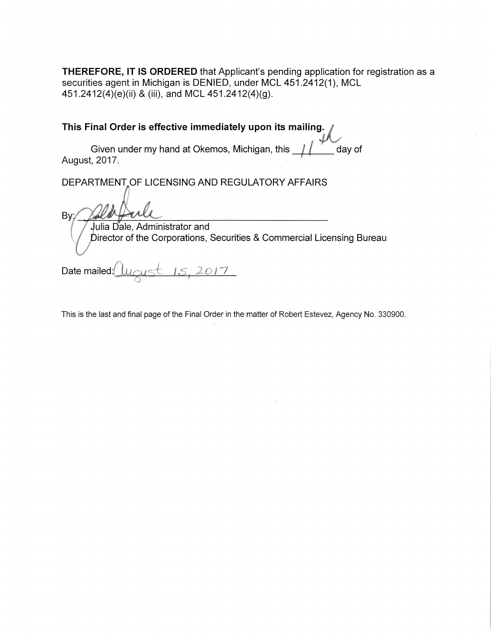**THEREFORE, IT IS ORDERED** that Applicant's pending application for registration as a securities agent in Michigan is DENIED, under MCL 451.2412(1), MCL 451.2412(4)(e)(ii) & (iii), and MCL 451.2412(4)(9).

**This Final Order is effective immediately upon its mailing**

Given under my hand at Okemos, Michigan, this  $\frac{1}{\sqrt{2}}$  day of August, 2017.

DEPARTMENT OF LICENSING AND REGULATORY AFFAIRS

Bv:

ulia Dale, Admin\_istrator and Director of the Corporations, Securities & Commercial Licensing Bureau

 $15,2017$ Date mailed:

This is the last and final page of the Final Order in the matter of Robert Estevez, Agency No. 330900.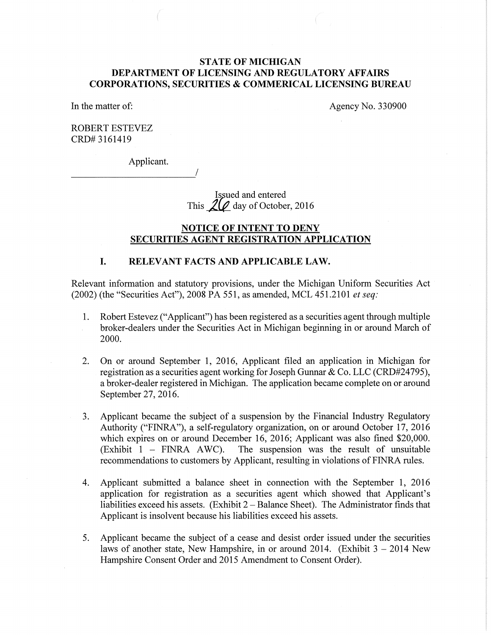## **STATE OF MICHIGAN DEPARTMENT OF LICENSING AND REGULATORY AFFAIRS CORPORATIONS, SECURITIES & COMMERICAL LICENSING BUREAU**

In the matter of:

Agency No. 330900

ROBERT ESTEVEZ CRD# 3161419

Applicant.

Issued and entered This  $20$  day of October, 2016

### **NOTICE OF INTENT TO DENY SECURITIES AGENT REGISTRATION APPLICATION**

#### **I. RELEVANT FACTS AND APPLICABLE LAW.**

Relevant information and statutory provisions, under the Michigan Uniform Securities Act (2002) (the "Securities Act"), 2008 PA 551, as amended, MCL 451.2101 *et seq:* 

- 1. Robert Estevez ("Applicant") has been registered as a securities agent through multiple broker-dealers under the Securities Act in Michigan beginning in or around March of 2000.
- 2. On or around September 1, 2016, Applicant filed an application in Michigan for registration as a securities agent working for Joseph Gunnar & Co. LLC (CRD#24795), a broker-dealer registered in Michigan. The application became complete on or around September 27, 2016.
- 3. Applicant became the subject of a suspension by the Financial Industry Regulatory Authority ("FINRA"), a self-regulatory organization, on or around October 17, 2016 which expires on or around December 16, 2016; Applicant was also fined \$20,000.  $(Exhibit 1 - FINRA AWC)$ . The suspension was the result of unsuitable recommendations to customers by Applicant, resulting in violations of FINRA rules.
- 4. Applicant submitted a balance sheet in connection with the September 1, 2016 application for registration as a securities agent which showed that Applicant's liabilities exceed his assets. (Exhibit 2-Balance Sheet). The Administrator finds that Applicant is insolvent because his liabilities exceed his assets.
- 5. Applicant became the subject of a cease and desist order issued under the securities laws of another state, New Hampshire, in or around 2014. (Exhibit  $3 - 2014$  New Hampshire Consent Order and 2015 Amendment to Consent Order).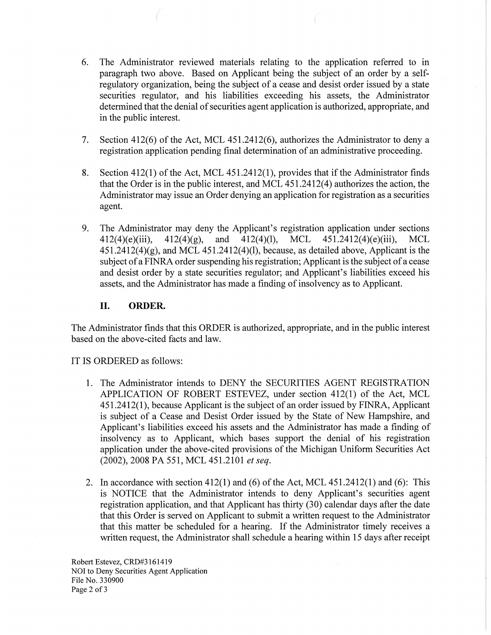- 6. The Administrator reviewed materials relating to the application referred to in paragraph two above. Based on Applicant being the subject of an order by a selfregulatory organization, being the subject of a cease and desist order issued by a state securities regulator, and his liabilities exceeding his assets, the Administrator determined that the denial of securities agent application is authorized, appropriate, and in the public interest.
- 7. Section  $412(6)$  of the Act, MCL  $451.2412(6)$ , authorizes the Administrator to deny a registration application pending final determination of an administrative proceeding.
- 8. Section  $412(1)$  of the Act, MCL  $451.2412(1)$ , provides that if the Administrator finds that the Order is in the public interest, and MCL 451.2412(4) authorizes the action, the Administrator may issue an Order denying an application for registration as a securities agent.
- 9. The Administrator may deny the Applicant's registration application under sections  $412(4)(e)(iii)$ ,  $412(4)(g)$ , and  $412(4)(1)$ , MCL  $451.2412(4)(e)(iii)$ , MCL  $451.2412(4)(g)$ , and MCL  $451.2412(4)(l)$ , because, as detailed above, Applicant is the subject of a FINRA order suspending his registration; Applicant is the subject of a cease and desist order by a state securities regulator; and Applicant's liabilities exceed his assets, and the Administrator has made a finding of insolvency as to Applicant.

#### II. **ORDER.**

The Administrator finds that this ORDER is authorized, appropriate, and in the public interest based on the above-cited facts and law.

IT IS ORDERED as follows:

- 1. The Administrator intends to DENY the SECURITIES AGENT REGISTRATION APPLICATION OF ROBERT ESTEVEZ, under section 412(1) of the Act, MCL 451.2412(1), because Applicant is the subject of an order issued by FINRA, Applicant is subject of a Cease and Desist Order issued by the State of New Hampshire, and Applicant's liabilities exceed his assets and the Administrator has made a finding of insolvency as to Applicant, which bases support the denial of his registration application under the above-cited provisions of the Michigan Uniform Securities Act (2002), 2008 PA 551, MCL 451.2101 *et seq.*
- 2. In accordance with section 412(1) and (6) of the Act, MCL 451.2412(1) and (6): This is NOTICE that the Administrator intends to deny Applicant's securities agent registration application, and that Applicant has thirty (30) calendar days after the date that this Order is served on Applicant to submit a written request to the Administrator that this matter be scheduled for a hearing. If the Administrator timely receives a written request, the Administrator shall schedule a hearing within 15 days after receipt